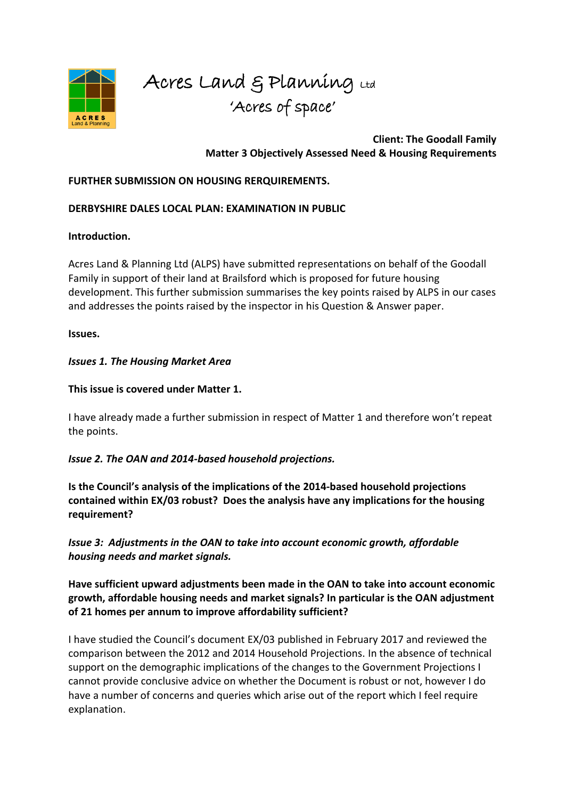

# Acres Land & Planning Ltd 'Acres of space'

**Client: The Goodall Family Matter 3 Objectively Assessed Need & Housing Requirements**

## **FURTHER SUBMISSION ON HOUSING RERQUIREMENTS.**

#### **DERBYSHIRE DALES LOCAL PLAN: EXAMINATION IN PUBLIC**

#### **Introduction.**

Acres Land & Planning Ltd (ALPS) have submitted representations on behalf of the Goodall Family in support of their land at Brailsford which is proposed for future housing development. This further submission summarises the key points raised by ALPS in our cases and addresses the points raised by the inspector in his Question & Answer paper.

**Issues.**

#### *Issues 1. The Housing Market Area*

### **This issue is covered under Matter 1.**

I have already made a further submission in respect of Matter 1 and therefore won't repeat the points.

#### *Issue 2. The OAN and 2014-based household projections.*

**Is the Council's analysis of the implications of the 2014-based household projections contained within EX/03 robust? Does the analysis have any implications for the housing requirement?** 

## *Issue 3: Adjustments in the OAN to take into account economic growth, affordable housing needs and market signals.*

## **Have sufficient upward adjustments been made in the OAN to take into account economic growth, affordable housing needs and market signals? In particular is the OAN adjustment of 21 homes per annum to improve affordability sufficient?**

I have studied the Council's document EX/03 published in February 2017 and reviewed the comparison between the 2012 and 2014 Household Projections. In the absence of technical support on the demographic implications of the changes to the Government Projections I cannot provide conclusive advice on whether the Document is robust or not, however I do have a number of concerns and queries which arise out of the report which I feel require explanation.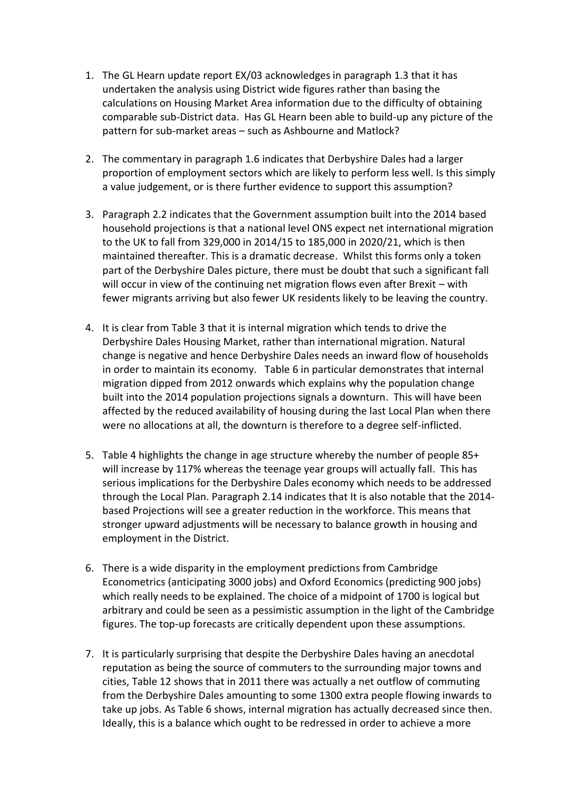- 1. The GL Hearn update report EX/03 acknowledges in paragraph 1.3 that it has undertaken the analysis using District wide figures rather than basing the calculations on Housing Market Area information due to the difficulty of obtaining comparable sub-District data. Has GL Hearn been able to build-up any picture of the pattern for sub-market areas – such as Ashbourne and Matlock?
- 2. The commentary in paragraph 1.6 indicates that Derbyshire Dales had a larger proportion of employment sectors which are likely to perform less well. Is this simply a value judgement, or is there further evidence to support this assumption?
- 3. Paragraph 2.2 indicates that the Government assumption built into the 2014 based household projections is that a national level ONS expect net international migration to the UK to fall from 329,000 in 2014/15 to 185,000 in 2020/21, which is then maintained thereafter. This is a dramatic decrease. Whilst this forms only a token part of the Derbyshire Dales picture, there must be doubt that such a significant fall will occur in view of the continuing net migration flows even after Brexit – with fewer migrants arriving but also fewer UK residents likely to be leaving the country.
- 4. It is clear from Table 3 that it is internal migration which tends to drive the Derbyshire Dales Housing Market, rather than international migration. Natural change is negative and hence Derbyshire Dales needs an inward flow of households in order to maintain its economy. Table 6 in particular demonstrates that internal migration dipped from 2012 onwards which explains why the population change built into the 2014 population projections signals a downturn. This will have been affected by the reduced availability of housing during the last Local Plan when there were no allocations at all, the downturn is therefore to a degree self-inflicted.
- 5. Table 4 highlights the change in age structure whereby the number of people 85+ will increase by 117% whereas the teenage year groups will actually fall. This has serious implications for the Derbyshire Dales economy which needs to be addressed through the Local Plan. Paragraph 2.14 indicates that It is also notable that the 2014 based Projections will see a greater reduction in the workforce. This means that stronger upward adjustments will be necessary to balance growth in housing and employment in the District.
- 6. There is a wide disparity in the employment predictions from Cambridge Econometrics (anticipating 3000 jobs) and Oxford Economics (predicting 900 jobs) which really needs to be explained. The choice of a midpoint of 1700 is logical but arbitrary and could be seen as a pessimistic assumption in the light of the Cambridge figures. The top-up forecasts are critically dependent upon these assumptions.
- 7. It is particularly surprising that despite the Derbyshire Dales having an anecdotal reputation as being the source of commuters to the surrounding major towns and cities, Table 12 shows that in 2011 there was actually a net outflow of commuting from the Derbyshire Dales amounting to some 1300 extra people flowing inwards to take up jobs. As Table 6 shows, internal migration has actually decreased since then. Ideally, this is a balance which ought to be redressed in order to achieve a more